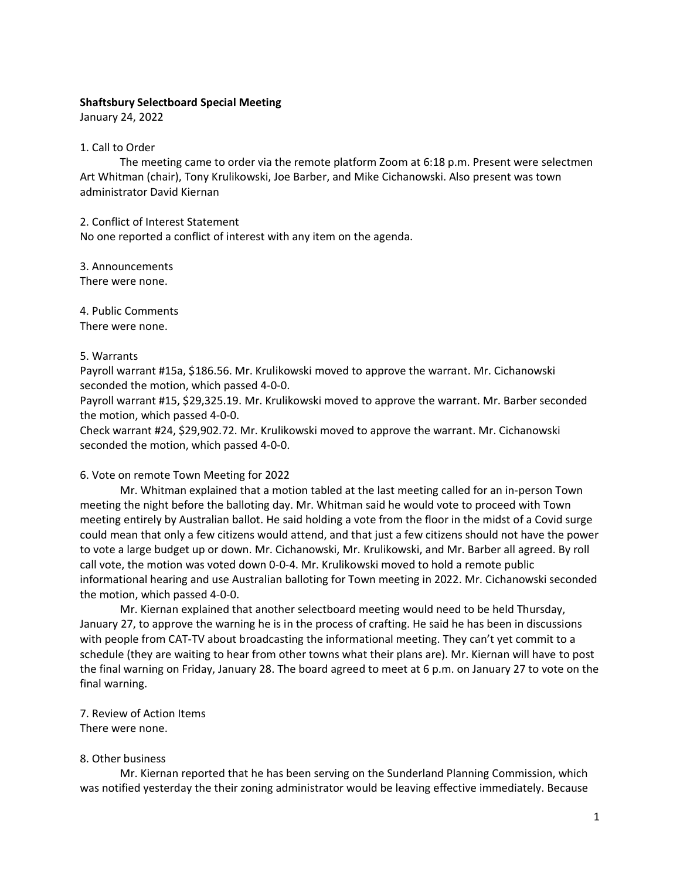## **Shaftsbury Selectboard Special Meeting**

January 24, 2022

## 1. Call to Order

The meeting came to order via the remote platform Zoom at 6:18 p.m. Present were selectmen Art Whitman (chair), Tony Krulikowski, Joe Barber, and Mike Cichanowski. Also present was town administrator David Kiernan

2. Conflict of Interest Statement No one reported a conflict of interest with any item on the agenda.

3. Announcements There were none.

4. Public Comments There were none.

## 5. Warrants

Payroll warrant #15a, \$186.56. Mr. Krulikowski moved to approve the warrant. Mr. Cichanowski seconded the motion, which passed 4-0-0.

Payroll warrant #15, \$29,325.19. Mr. Krulikowski moved to approve the warrant. Mr. Barber seconded the motion, which passed 4-0-0.

Check warrant #24, \$29,902.72. Mr. Krulikowski moved to approve the warrant. Mr. Cichanowski seconded the motion, which passed 4-0-0.

#### 6. Vote on remote Town Meeting for 2022

Mr. Whitman explained that a motion tabled at the last meeting called for an in-person Town meeting the night before the balloting day. Mr. Whitman said he would vote to proceed with Town meeting entirely by Australian ballot. He said holding a vote from the floor in the midst of a Covid surge could mean that only a few citizens would attend, and that just a few citizens should not have the power to vote a large budget up or down. Mr. Cichanowski, Mr. Krulikowski, and Mr. Barber all agreed. By roll call vote, the motion was voted down 0-0-4. Mr. Krulikowski moved to hold a remote public informational hearing and use Australian balloting for Town meeting in 2022. Mr. Cichanowski seconded the motion, which passed 4-0-0.

 Mr. Kiernan explained that another selectboard meeting would need to be held Thursday, January 27, to approve the warning he is in the process of crafting. He said he has been in discussions with people from CAT-TV about broadcasting the informational meeting. They can't yet commit to a schedule (they are waiting to hear from other towns what their plans are). Mr. Kiernan will have to post the final warning on Friday, January 28. The board agreed to meet at 6 p.m. on January 27 to vote on the final warning.

# 7. Review of Action Items

There were none.

# 8. Other business

Mr. Kiernan reported that he has been serving on the Sunderland Planning Commission, which was notified yesterday the their zoning administrator would be leaving effective immediately. Because